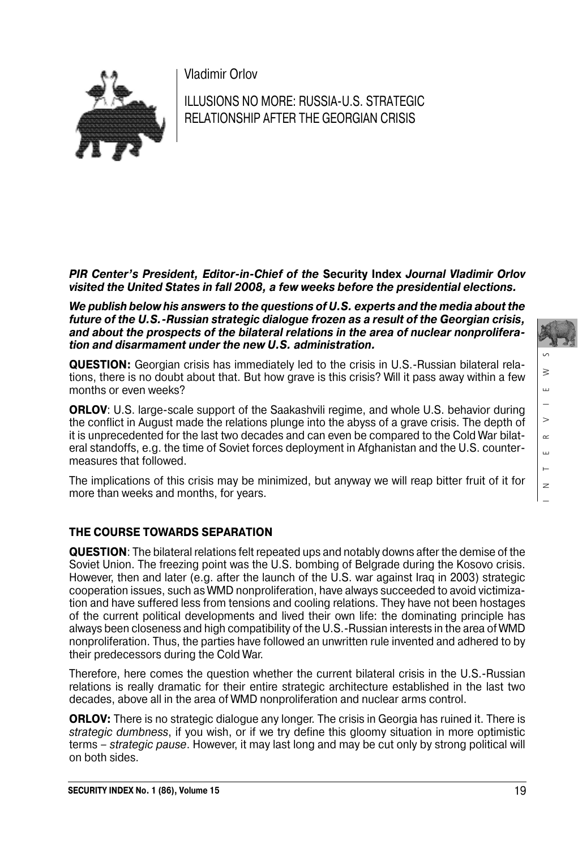Vladimir Orlov



ILLUSIONS NO MORE: RUSSIA-U.S. STRATEGIC RELATIONSHIP AFTER THE GEORGIAN CRISIS

*PIR Center's President, Editor-in-Chief of the* **Security Index** *Journal Vladimir Orlov visited the United States in fall 2008, a few weeks before the presidential elections.*

*We publish below his answers to the questions of U.S. experts and the media about the future of the U.S.-Russian strategic dialogue frozen as a result of the Georgian crisis, and about the prospects of the bilateral relations in the area of nuclear nonprolifera tion and disarmament under the new U.S. administration.*

**QUESTION:** Georgian crisis has immediately led to the crisis in U.S.-Russian bilateral rela tions, there is no doubt about that. But how grave is this crisis? Will it pass away within a few months or even weeks?

**ORLOV**: U.S. large-scale support of the Saakashvili regime, and whole U.S. behavior during the conflict in August made the relations plunge into the abyss of a grave crisis. The depth of it is unprecedented for the last two decades and can even be compared to the Cold War bilateral standoffs, e.g. the time of Soviet forces deployment in Afghanistan and the U.S. countermeasures that followed.

The implications of this crisis may be minimized, but anyway we will reap bitter fruit of it for more than weeks and months, for years.

# **THE COURSE TOWARDS SEPARATION**

**QUESTION**: The bilateral relations felt repeated ups and notably downs after the demise of the Soviet Union. The freezing point was the U.S. bombing of Belgrade during the Kosovo crisis. However, then and later (e.g. after the launch of the U.S. war against Iraq in 2003) strategic cooperation issues, such as WMD nonproliferation, have always succeeded to avoid victimiza tion and have suffered less from tensions and cooling relations. They have not been hostages of the current political developments and lived their own life: the dominating principle has always been closeness and high compatibility of the U.S.-Russian interests in the area of WMD nonproliferation. Thus, the parties have followed an unwritten rule invented and adhered to by their predecessors during the Cold War.

Therefore, here comes the question whether the current bilateral crisis in the U.S.-Russian relations is really dramatic for their entire strategic architecture established in the last two decades, above all in the area of WMD nonproliferation and nuclear arms control.

**ORLOV:** There is no strategic dialogue any longer. The crisis in Georgia has ruined it. There is strategic dumbness, if you wish, or if we try define this gloomy situation in more optimistic terms – strategic pause. However, it may last long and may be cut only by strong political will on both sides.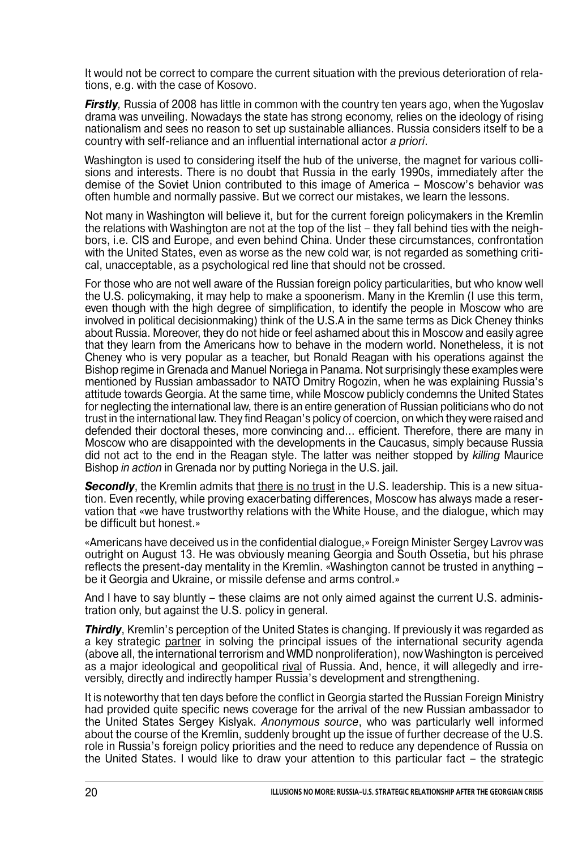It would not be correct to compare the current situation with the previous deterioration of rela tions, e.g. with the case of Kosovo.

*Firstly*, Russia of 2008 has little in common with the country ten years ago, when the Yugoslav drama was unveiling. Nowadays the state has strong economy, relies on the ideology of rising nationalism and sees no reason to set up sustainable alliances. Russia considers itself to be a country with self-reliance and an influential international actor *a priori*.

Washington is used to considering itself the hub of the universe, the magnet for various colli sions and interests. There is no doubt that Russia in the early 1990s, immediately after the demise of the Soviet Union contributed to this image of America – Moscow's behavior was often humble and normally passive. But we correct our mistakes, we learn the lessons.

Not many in Washington will believe it, but for the current foreign policymakers in the Kremlin the relations with Washington are not at the top of the list – they fall behind ties with the neigh bors, i.e. CIS and Europe, and even behind China. Under these circumstances, confrontation with the United States, even as worse as the new cold war, is not regarded as something critical, unacceptable, as a psychological red line that should not be crossed.

For those who are not well aware of the Russian foreign policy particularities, but who know well the U.S. policymaking, it may help to make a spoonerism. Many in the Kremlin (I use this term, even though with the high degree of simplification, to identify the people in Moscow who are involved in political decisionmaking) think of the U.S.A in the same terms as Dick Cheney thinks about Russia. Moreover, they do not hide or feel ashamed about this in Moscow and easily agree that they learn from the Americans how to behave in the modern world. Nonetheless, it is not Cheney who is very popular as a teacher, but Ronald Reagan with his operations against the Bishop regime in Grenada and Manuel Noriega in Panama. Not surprisingly these examples were mentioned by Russian ambassador to NATO Dmitry Rogozin, when he was explaining Russia's attitude towards Georgia. At the same time, while Moscow publicly condemns the United States for neglecting the international law, there is an entire generation of Russian politicians who do not trust in the international law. They find Reagan's policy of coercion, on which they were raised and defended their doctoral theses, more convincing and… efficient. Therefore, there are many in Moscow who are disappointed with the developments in the Caucasus, simply because Russia did not act to the end in the Reagan style. The latter was neither stopped by killing Maurice Bishop in action in Grenada nor by putting Noriega in the U.S. jail.

*Secondly*, the Kremlin admits that there is no trust in the U.S. leadership. This is a new situa tion. Even recently, while proving exacerbating differences, Moscow has always made a reser vation that «we have trustworthy relations with the White House, and the dialogue, which may be difficult but honest.»

«Americans have deceived us in the confidential dialogue,» Foreign Minister Sergey Lavrov was outright on August 13. He was obviously meaning Georgia and South Ossetia, but his phrase reflects the present-day mentality in the Kremlin. «Washington cannot be trusted in anything – be it Georgia and Ukraine, or missile defense and arms control.»

And I have to say bluntly – these claims are not only aimed against the current U.S. adminis tration only, but against the U.S. policy in general.

**Thirdly**, Kremlin's perception of the United States is changing. If previously it was regarded as a key strategic partner in solving the principal issues of the international security agenda (above all, the international terrorism and WMD nonproliferation), now Washington is perceived as a major ideological and geopolitical <u>rival</u> of Russia. And, hence, it will allegedly and irreversibly, directly and indirectly hamper Russia's development and strengthening.

It is noteworthy that ten days before the conflict in Georgia started the Russian Foreign Ministry had provided quite specific news coverage for the arrival of the new Russian ambassador to the United States Sergey Kislyak. Anonymous source, who was particularly well informed about the course of the Kremlin, suddenly brought up the issue of further decrease of the U.S. role in Russia's foreign policy priorities and the need to reduce any dependence of Russia on the United States. I would like to draw your attention to this particular fact – the strategic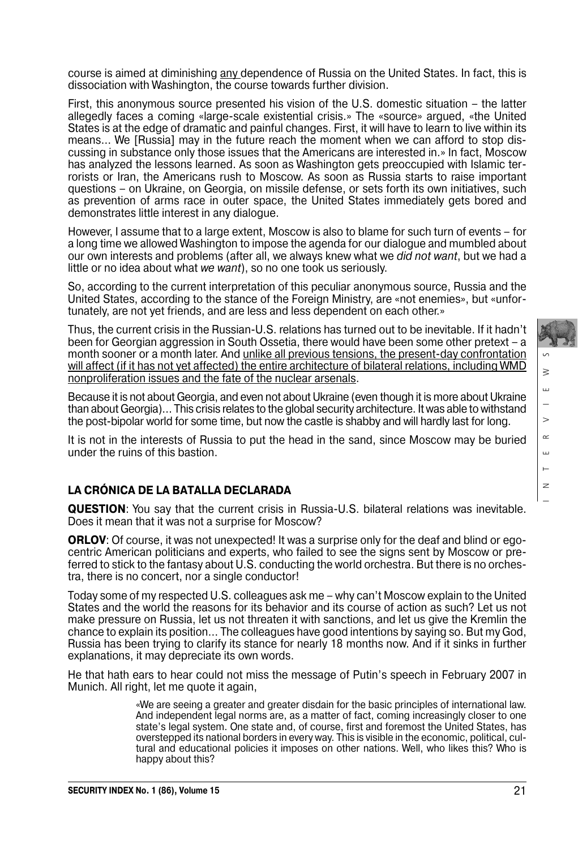course is aimed at diminishing any dependence of Russia on the United States. In fact, this is dissociation with Washington, the course towards further division.

First, this anonymous source presented his vision of the U.S. domestic situation – the latter allegedly faces a coming «large-scale existential crisis.» The «source» argued, «the United States is at the edge of dramatic and painful changes. First, it will have to learn to live within its means… We [Russia] may in the future reach the moment when we can afford to stop dis cussing in substance only those issues that the Americans are interested in.» In fact, Moscow has analyzed the lessons learned. As soon as Washington gets preoccupied with Islamic ter rorists or Iran, the Americans rush to Moscow. As soon as Russia starts to raise important questions – on Ukraine, on Georgia, on missile defense, or sets forth its own initiatives, such as prevention of arms race in outer space, the United States immediately gets bored and demonstrates little interest in any dialogue.

However, I assume that to a large extent, Moscow is also to blame for such turn of events – for a long time we allowed Washington to impose the agenda for our dialogue and mumbled about our own interests and problems (after all, we always knew what we *did not want*, but we had a little or no idea about what we want), so no one took us seriously.

So, according to the current interpretation of this peculiar anonymous source, Russia and the United States, according to the stance of the Foreign Ministry, are «not enemies», but «unfor tunately, are not yet friends, and are less and less dependent on each other.»

Thus, the current crisis in the Russian-U.S. relations has turned out to be inevitable. If it hadn't been for Georgian aggression in South Ossetia, there would have been some other pretext – a month sooner or a month later. And <u>unlike all previous tensions, the present-day confrontation</u> will affect (if it has not yet affected) the entire architecture of bilateral relations, including WMD nonproliferation issues and the fate of the nuclear arsenals.

Because it is not about Georgia, and even not about Ukraine (even though it is more about Ukraine than about Georgia)… This crisis relates to the global security architecture. It was able to withstand the post-bipolar world for some time, but now the castle is shabby and will hardly last for long.

It is not in the interests of Russia to put the head in the sand, since Moscow may be buried under the ruins of this bastion.

## **LA CRÓNICA DE LA BATALLA DECLARADA**

**QUESTION**: You say that the current crisis in Russia-U.S. bilateral relations was inevitable. Does it mean that it was not a surprise for Moscow?

**ORLOV**: Of course, it was not unexpected! It was a surprise only for the deaf and blind or ego centric American politicians and experts, who failed to see the signs sent by Moscow or pre ferred to stick to the fantasy about U.S. conducting the world orchestra. But there is no orchestra, there is no concert, nor a single conductor!

Today some of my respected U.S. colleagues ask me – why can't Moscow explain to the United States and the world the reasons for its behavior and its course of action as such? Let us not make pressure on Russia, let us not threaten it with sanctions, and let us give the Kremlin the chance to explain its position… The colleagues have good intentions by saying so. But my God, Russia has been trying to clarify its stance for nearly 18 months now. And if it sinks in further explanations, it may depreciate its own words.

He that hath ears to hear could not miss the message of Putin's speech in February 2007 in Munich. All right, let me quote it again,

> «We are seeing a greater and greater disdain for the basic principles of international law. And independent legal norms are, as a matter of fact, coming increasingly closer to one state's legal system. One state and, of course, first and foremost the United States, has overstepped its national borders in every way. This is visible in the economic, political, cul tural and educational policies it imposes on other nations. Well, who likes this? Who is happy about this?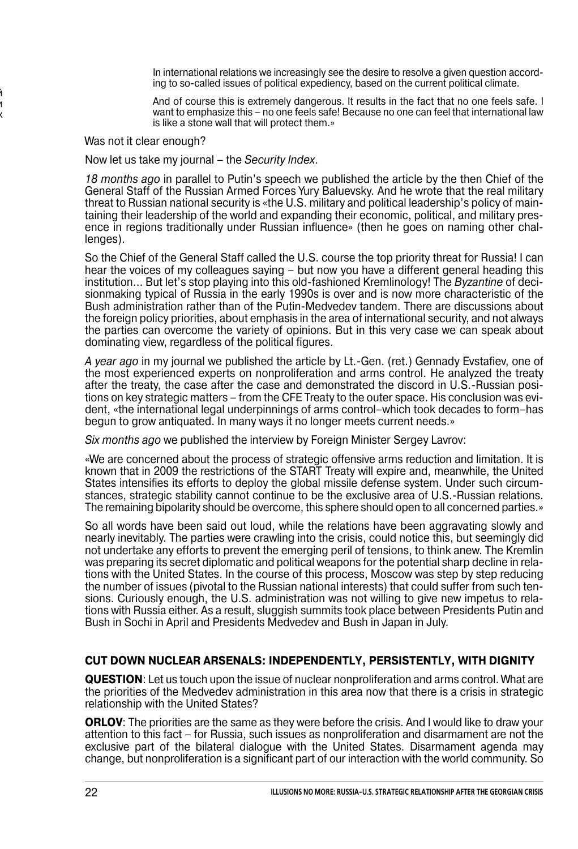In international relations we increasingly see the desire to resolve a given question accord ing to so-called issues of political expediency, based on the current political climate.

And of course this is extremely dangerous. It results in the fact that no one feels safe. I want to emphasize this – no one feels safe! Because no one can feel that international law is like a stone wall that will protect them.»

Was not it clear enough?

й и х

Now let us take my journal – the Security Index.

18 months ago in parallel to Putin's speech we published the article by the then Chief of the General Staff of the Russian Armed Forces Yury Baluevsky. And he wrote that the real military threat to Russian national security is «the U.S. military and political leadership's policy of main taining their leadership of the world and expanding their economic, political, and military presence in regions traditionally under Russian influence» (then he goes on naming other chal lenges).

So the Chief of the General Staff called the U.S. course the top priority threat for Russia! I can hear the voices of my colleagues saying – but now you have a different general heading this institution... But let's stop playing into this old-fashioned Kremlinology! The *Byzantine* of decisionmaking typical of Russia in the early 1990s is over and is now more characteristic of the Bush administration rather than of the Putin-Medvedev tandem. There are discussions about the foreign policy priorities, about emphasis in the area of international security, and not always the parties can overcome the variety of opinions. But in this very case we can speak about dominating view, regardless of the political figures.

A year ago in my journal we published the article by Lt.-Gen. (ret.) Gennady Evstafiev, one of the most experienced experts on nonproliferation and arms control. He analyzed the treaty after the treaty, the case after the case and demonstrated the discord in U.S.-Russian posi tions on key strategic matters – from the CFE Treaty to the outer space. His conclusion was evi dent, «the international legal underpinnings of arms control–which took decades to form–has begun to grow antiquated. In many ways it no longer meets current needs.»

Six months ago we published the interview by Foreign Minister Sergey Lavrov:

«We are concerned about the process of strategic offensive arms reduction and limitation. It is known that in 2009 the restrictions of the START Treaty will expire and, meanwhile, the United States intensifies its efforts to deploy the global missile defense system. Under such circum stances, strategic stability cannot continue to be the exclusive area of U.S.-Russian relations. The remaining bipolarity should be overcome, this sphere should open to all concerned parties.»

So all words have been said out loud, while the relations have been aggravating slowly and nearly inevitably. The parties were crawling into the crisis, could notice this, but seemingly did not undertake any efforts to prevent the emerging peril of tensions, to think anew. The Kremlin was preparing its secret diplomatic and political weapons for the potential sharp decline in rela tions with the United States. In the course of this process, Moscow was step by step reducing the number of issues (pivotal to the Russian national interests) that could suffer from such ten sions. Curiously enough, the U.S. administration was not willing to give new impetus to rela tions with Russia either. As a result, sluggish summits took place between Presidents Putin and Bush in Sochi in April and Presidents Medvedev and Bush in Japan in July.

#### **CUT DOWN NUCLEAR ARSENALS: INDEPENDENTLY, PERSISTENTLY, WITH DIGNITY**

**QUESTION**: Let us touch upon the issue of nuclear nonproliferation and arms control. What are the priorities of the Medvedev administration in this area now that there is a crisis in strategic relationship with the United States?

**ORLOV:** The priorities are the same as they were before the crisis. And I would like to draw your attention to this fact – for Russia, such issues as nonproliferation and disarmament are not the exclusive part of the bilateral dialogue with the United States. Disarmament agenda may change, but nonproliferation is a significant part of our interaction with the world community. So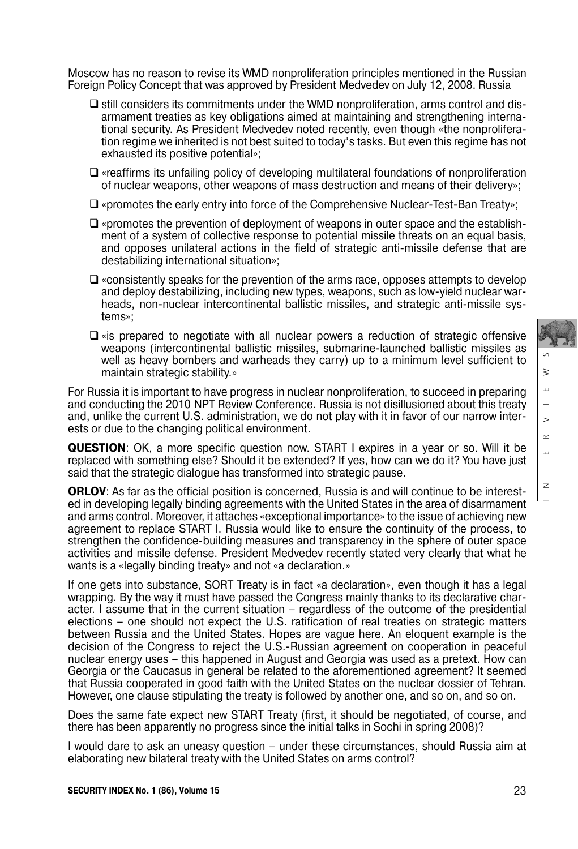Moscow has no reason to revise its WMD nonproliferation principles mentioned in the Russian Foreign Policy Concept that was approved by President Medvedev on July 12, 2008. Russia

- $\Box$  still considers its commitments under the WMD nonproliferation, arms control and disarmament treaties as key obligations aimed at maintaining and strengthening interna tional security. As President Medvedev noted recently, even though «the nonprolifera tion regime we inherited is not best suited to today's tasks. But even this regime has not exhausted its positive potential»;
- $\square$  «reaffirms its unfailing policy of developing multilateral foundations of nonproliferation of nuclear weapons, other weapons of mass destruction and means of their delivery»;
- $\square$  «promotes the early entry into force of the Comprehensive Nuclear-Test-Ban Treaty»;
- $\Box$  «promotes the prevention of deployment of weapons in outer space and the establishment of a system of collective response to potential missile threats on an equal basis, and opposes unilateral actions in the field of strategic anti-missile defense that are destabilizing international situation»;
- $\Box$  «consistently speaks for the prevention of the arms race, opposes attempts to develop and deploy destabilizing, including new types, weapons, such as low-yield nuclear war heads, non-nuclear intercontinental ballistic missiles, and strategic anti-missile sys tems»;
- $\Box$  «is prepared to negotiate with all nuclear powers a reduction of strategic offensive weapons (intercontinental ballistic missiles, submarine-launched ballistic missiles as well as heavy bombers and warheads they carry) up to a minimum level sufficient to maintain strategic stability.»

For Russia it is important to have progress in nuclear nonproliferation, to succeed in preparing and conducting the 2010 NPT Review Conference. Russia is not disillusioned about this treaty and, unlike the current U.S. administration, we do not play with it in favor of our narrow inter ests or due to the changing political environment.

**QUESTION**: OK, a more specific question now. START I expires in a year or so. Will it be replaced with something else? Should it be extended? If yes, how can we do it? You have just said that the strategic dialogue has transformed into strategic pause.

**ORLOV:** As far as the official position is concerned. Russia is and will continue to be interested in developing legally binding agreements with the United States in the area of disarmament and arms control. Moreover, it attaches «exceptional importance» to the issue of achieving new agreement to replace START I. Russia would like to ensure the continuity of the process, to strengthen the confidence-building measures and transparency in the sphere of outer space activities and missile defense. President Medvedev recently stated very clearly that what he wants is a «legally binding treaty» and not «a declaration.»

If one gets into substance, SORT Treaty is in fact «a declaration», even though it has a legal wrapping. By the way it must have passed the Congress mainly thanks to its declarative char acter. I assume that in the current situation – regardless of the outcome of the presidential elections – one should not expect the U.S. ratification of real treaties on strategic matters between Russia and the United States. Hopes are vague here. An eloquent example is the decision of the Congress to reject the U.S.-Russian agreement on cooperation in peaceful nuclear energy uses – this happened in August and Georgia was used as a pretext. How can Georgia or the Caucasus in general be related to the aforementioned agreement? It seemed that Russia cooperated in good faith with the United States on the nuclear dossier of Tehran. However, one clause stipulating the treaty is followed by another one, and so on, and so on.

Does the same fate expect new START Treaty (first, it should be negotiated, of course, and there has been apparently no progress since the initial talks in Sochi in spring 2008)?

I would dare to ask an uneasy question – under these circumstances, should Russia aim at elaborating new bilateral treaty with the United States on arms control?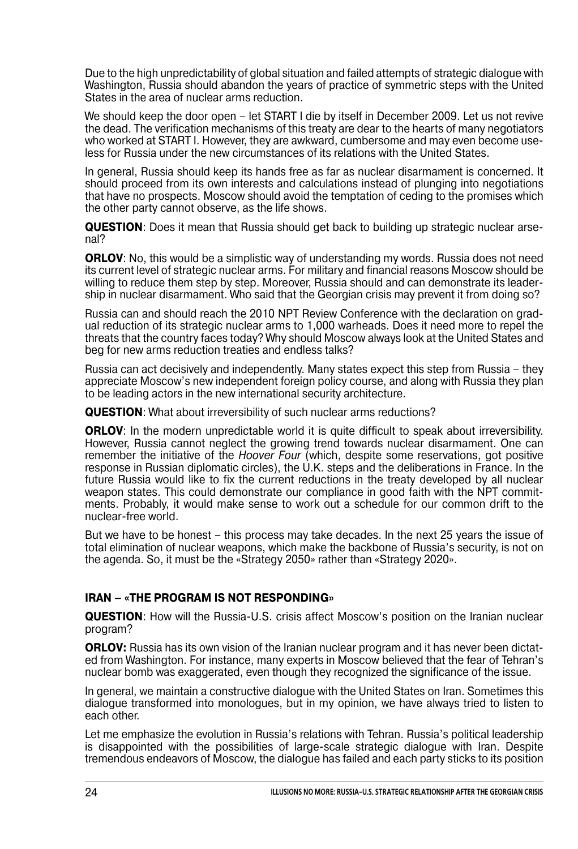Due to the high unpredictability of global situation and failed attempts of strategic dialogue with Washington, Russia should abandon the years of practice of symmetric steps with the United States in the area of nuclear arms reduction.

We should keep the door open – let START I die by itself in December 2009. Let us not revive the dead. The verification mechanisms of this treaty are dear to the hearts of many negotiators who worked at START I. However, they are awkward, cumbersome and may even become use less for Russia under the new circumstances of its relations with the United States.

In general, Russia should keep its hands free as far as nuclear disarmament is concerned. It should proceed from its own interests and calculations instead of plunging into negotiations that have no prospects. Moscow should avoid the temptation of ceding to the promises which the other party cannot observe, as the life shows.

**QUESTION**: Does it mean that Russia should get back to building up strategic nuclear arse nal?

**ORLOV:** No, this would be a simplistic way of understanding my words. Russia does not need its current level of strategic nuclear arms. For military and financial reasons Moscow should be willing to reduce them step by step. Moreover, Russia should and can demonstrate its leadership in nuclear disarmament. Who said that the Georgian crisis may prevent it from doing so?

Russia can and should reach the 2010 NPT Review Conference with the declaration on grad ual reduction of its strategic nuclear arms to 1,000 warheads. Does it need more to repel the threats that the country faces today? Why should Moscow always look at the United States and beg for new arms reduction treaties and endless talks?

Russia can act decisively and independently. Many states expect this step from Russia – they appreciate Moscow's new independent foreign policy course, and along with Russia they plan to be leading actors in the new international security architecture.

**QUESTION**: What about irreversibility of such nuclear arms reductions?

**ORLOV:** In the modern unpredictable world it is quite difficult to speak about irreversibility. However, Russia cannot neglect the growing trend towards nuclear disarmament. One can remember the initiative of the Hoover Four (which, despite some reservations, got positive response in Russian diplomatic circles), the U.K. steps and the deliberations in France. In the future Russia would like to fix the current reductions in the treaty developed by all nuclear weapon states. This could demonstrate our compliance in good faith with the NPT commitments. Probably, it would make sense to work out a schedule for our common drift to the nuclear-free world.

But we have to be honest – this process may take decades. In the next 25 years the issue of total elimination of nuclear weapons, which make the backbone of Russia's security, is not on the agenda. So, it must be the «Strategy 2050» rather than «Strategy 2020».

## **IRAN – «THE PROGRAM IS NOT RESPONDING»**

**QUESTION**: How will the Russia-U.S. crisis affect Moscow's position on the Iranian nuclear program?

**ORLOV:** Russia has its own vision of the Iranian nuclear program and it has never been dictat ed from Washington. For instance, many experts in Moscow believed that the fear of Tehran's nuclear bomb was exaggerated, even though they recognized the significance of the issue.

In general, we maintain a constructive dialogue with the United States on Iran. Sometimes this dialogue transformed into monologues, but in my opinion, we have always tried to listen to each other.

Let me emphasize the evolution in Russia's relations with Tehran. Russia's political leadership is disappointed with the possibilities of large-scale strategic dialogue with Iran. Despite tremendous endeavors of Moscow, the dialogue has failed and each party sticks to its position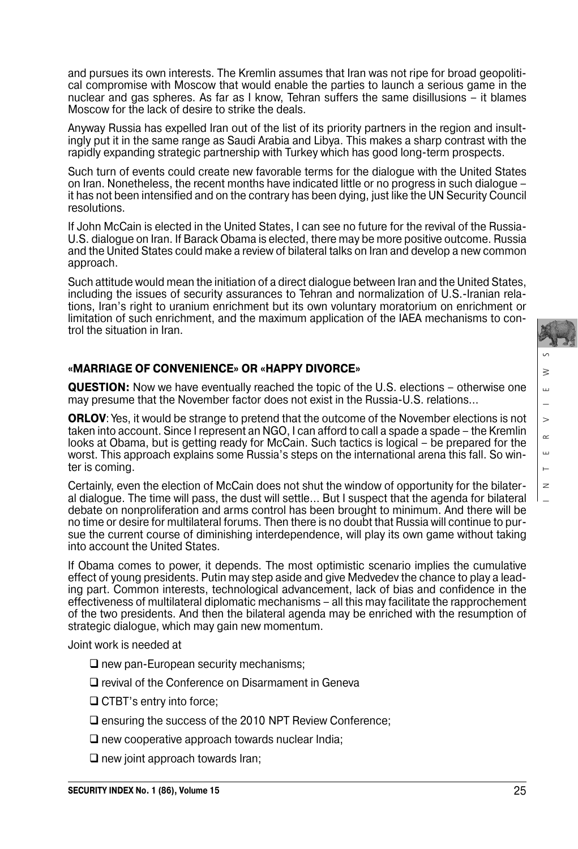INTERVIEWS  $\geq$ Ш  $\geq$  $\approx$ Щ  $\mathbf{r}$  $\overline{z}$ 

and pursues its own interests. The Kremlin assumes that Iran was not ripe for broad geopoliti cal compromise with Moscow that would enable the parties to launch a serious game in the nuclear and gas spheres. As far as I know, Tehran suffers the same disillusions – it blames Moscow for the lack of desire to strike the deals.

Anyway Russia has expelled Iran out of the list of its priority partners in the region and insult ingly put it in the same range as Saudi Arabia and Libya. This makes a sharp contrast with the rapidly expanding strategic partnership with Turkey which has good long-term prospects.

Such turn of events could create new favorable terms for the dialogue with the United States on Iran. Nonetheless, the recent months have indicated little or no progress in such dialogue – it has not been intensified and on the contrary has been dying, just like the UN Security Council resolutions.

If John McCain is elected in the United States, I can see no future for the revival of the Russia- U.S. dialogue on Iran. If Barack Obama is elected, there may be more positive outcome. Russia and the United States could make a review of bilateral talks on Iran and develop a new common approach.

Such attitude would mean the initiation of a direct dialogue between Iran and the United States, including the issues of security assurances to Tehran and normalization of U.S.-Iranian relations, Iran's right to uranium enrichment but its own voluntary moratorium on enrichment or limitation of such enrichment, and the maximum application of the IAEA mechanisms to control the situation in Iran.

### **«MARRIAGE OF CONVENIENCE» OR «HAPPY DIVORCE»**

**QUESTION:** Now we have eventually reached the topic of the U.S. elections – otherwise one may presume that the November factor does not exist in the Russia-U.S. relations…

**ORLOV:** Yes, it would be strange to pretend that the outcome of the November elections is not taken into account. Since I represent an NGO, I can afford to call a spade a spade – the Kremlin looks at Obama, but is getting ready for McCain. Such tactics is logical – be prepared for the worst. This approach explains some Russia's steps on the international arena this fall. So winter is coming.

Certainly, even the election of McCain does not shut the window of opportunity for the bilater al dialogue. The time will pass, the dust will settle… But I suspect that the agenda for bilateral debate on nonproliferation and arms control has been brought to minimum. And there will be no time or desire for multilateral forums. Then there is no doubt that Russia will continue to pursue the current course of diminishing interdependence, will play its own game without taking into account the United States.

If Obama comes to power, it depends. The most optimistic scenario implies the cumulative effect of young presidents. Putin may step aside and give Medvedev the chance to play a lead ing part. Common interests, technological advancement, lack of bias and confidence in the effectiveness of multilateral diplomatic mechanisms – all this may facilitate the rapprochement of the two presidents. And then the bilateral agenda may be enriched with the resumption of strategic dialogue, which may gain new momentum.

Joint work is needed at

- $\square$  new pan-European security mechanisms;
- $\square$  revival of the Conference on Disarmament in Geneva
- □ CTBT's entry into force:
- $\square$  ensuring the success of the 2010 NPT Review Conference;
- $\Box$  new cooperative approach towards nuclear India;
- $\Box$  new joint approach towards Iran;